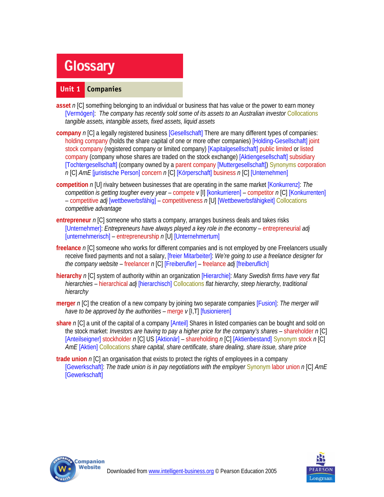# **Glossary**

## **Unit 1 Companies**

- **asset** *n* [C] something belonging to an individual or business that has value or the power to earn money [Vermögen]: *The company has recently sold some of its assets to an Australian investor* Collocations *tangible assets, intangible assets, fixed assets, liquid assets*
- **company** *n* [C] a legally registered business [Gesellschaft] There are many different types of companies: holding company (holds the share capital of one or more other companies) [Holding-Gesellschaft] joint stock company (registered company or limited company) [Kapitalgesellschaft] public limited or listed company (company whose shares are traded on the stock exchange) [Aktiengesellschaft] subsidiary [Tochtergesellschaft] (company owned by a parent company [Muttergesellschaft]) Synonyms corporation *n* [C] *AmE* [juristische Person] concern *n* [C] [Körperschaft] business *n* [C] [Unternehmen]
- **competition** *n* [U] rivalry between businesses that are operating in the same market [Konkurrenz]: *The competition is getting tougher every year* – compete *v* [I] [konkurrieren] – competitor *n* [C] [Konkurrenten] – competitive *adj* [wettbewerbsfähig] – competitiveness *n* [U] [Wettbewerbsfähigkeit] Collocations *competitive advantage*
- **entrepreneur** *n* [C] someone who starts a company, arranges business deals and takes risks [Unternehmer]: *Entrepreneurs have always played a key role in the economy* – entrepreneurial *adj*  [unternehmerisch] – entrepreneurship *n* [U] [Unternehmertum]
- **freelance** *n* [C] someone who works for different companies and is not employed by one Freelancers usually receive fixed payments and not a salary, [freier Mitarbeiter]: *We're going to use a freelance designer for the company website* – freelancer *n* [C] [Freiberufler] – freelance *adj* [freiberuflich]
- **hierarchy** *n* [C] system of authority within an organization [Hierarchie]: *Many Swedish firms have very flat hierarchies* – hierarchical *adj* [hierarchisch] Collocations *flat hierarchy, steep hierarchy, traditional hierarchy*
- **merger** *n* [C] the creation of a new company by joining two separate companies [Fusion]: *The merger will have to be approved by the authorities* – merge  $v[1,T]$  [fusionieren]
- **share** *n* [C] a unit of the capital of a company [Anteil] Shares in listed companies can be bought and sold on the stock market: *Investors are having to pay a higher price for the company's shares* – shareholder *n* [C] [Anteilseigner] stockholder *n* [C] US [Aktionär] – shareholding *n* [C] [Aktienbestand] Synonym stock *n* [C] *AmE* [Aktien] Collocations *share capital, share certificate, share dealing, share issue, share price*
- **trade union** *n* [C] an organisation that exists to protect the rights of employees in a company [Gewerkschaft]: *The trade union is in pay negotiations with the employer* Synonym labor union *n* [C] *AmE*  **[Gewerkschaft]**



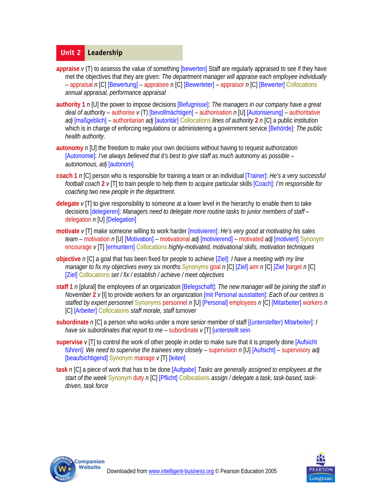#### **Unit 2 Leadership**

- appraise  $v(T)$  to assesss the value of something [bewerten] Staff are regularly appraised to see if they have met the objectives that they are given: *The department manager will appraise each employee individually* – appraisal *n* [C] [Bewertung] – appraisee *n* [C] [Bewerteter] – appraisor *n* [C] [Bewerter] Collocations *annual appraisal, performance appraisal*
- **authority 1** *n* [U] the power to impose decisions [Befugnisse]: *The managers in our company have a great deal of authority* – authorise *v* (T) [bevollmächtigen] – authorisation *n* [U] [Autorisierung] – authoritative *adj* [maßgeblich] – authoritarian *adj* [autoritär] Collocations *lines of authority* **2** *n* [C] a public institution which is in charge of enforcing regulations or administering a government service [Behörde]: *The public health authority*.
- **autonomy** *n* [U] the freedom to make your own decisions without having to request authorization [Autonomie]: *I've always believed that it's best to give staff as much autonomy as possible – autonomous, adj* [autonom]
- **coach 1** *n* [C] person who is responsible for training a team or an individual [Trainer]: *He's a very successful football coach* **2** *v* [T] to train people to help them to acquire particular skills [Coach]: *I'm responsible for coaching two new people in the department*.
- **delegate** *v* [T] to give responsibility to someone at a lower level in the hierarchy to enable them to take decisions [delegieren]: *Managers need to delegate more routine tasks to junior members of staff* – delegation *n* [U] [Delegation]
- **motivate** *v* [T] make someone willing to work harder [motivieren]: *He's very good at motivating his sales team* – motivation *n* [U] [Motivation] – motivational *adj* [motivierend] – motivated *adj* [motiviert] Synonym encourage *v* [T] [ermuntern] Collocations *highly-motivated, motivational skills, motivation techniques*
- **objective** *n* [C] a goal that has been fixed for people to achieve [Ziel]: *I have a meeting with my line manager to fix my objectives every six months* Synonyms goal *n* [C] [Ziel] aim *n* [C] [Ziel ]target *n* [C] [Ziel] Collocations *set / fix / establish / achieve / meet objectives*
- **staff 1** *n* [plural] the employees of an organization [Belegschaft]: *The new manager will be joining the staff in November* **2** *v* [I] to provide workers for an organization [mit Personal ausstatten]: *Each of our centres is staffed by expert personnel* Synonyms personnel *n* [U] [Personal] employees *n* [C] [Mitarbeiter] workers *n*  [C] [Arbeiter] Collocations *staff morale, staff turnover*
- **subordinate** *n* [C] a person who works under a more senior member of staff [(unterstellter) Mitarbeiter]*: I have six subordinates that report to me* – subordinate  $\nu$  [T] [unterstellt sein
- **supervise** *v* [T] to control the work of other people in order to make sure that it is properly done [Aufsicht führen]: *We need to supervise the trainees very closely* – supervision *n* [U] [Aufsicht] – supervisory *adj*  [beaufsichtigend] Synonym manage *v* [T] [leiten]
- **task** *n* [C] a piece of work that has to be done [Aufgabe] *Tasks are generally assigned to employees at the start of the week* Synonym duty *n* [C] [Pflicht] Collocations *assign / delegate a task, task-based, taskdriven, task force*



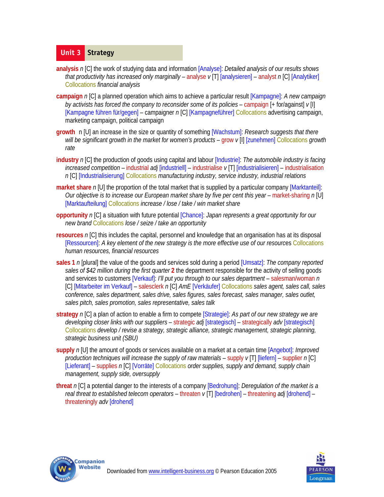# **Unit 3 Strategy**

- **analysis** *n* [C] the work of studying data and information [Analyse]: *Detailed analysis of our results shows that productivity has increased only marginally – analyse*  $v[T]$  *[analysieren] – analyst n [C] [Analytiker]* Collocations *financial analysis*
- **campaign** *n* [C] a planned operation which aims to achieve a particular result [Kampagne]: *A new campaign by activists has forced the company to reconsider some of its policies* – campaign [+ for/against] *v* [I] [Kampagne führen für/gegen] – campaigner *n* [C] [Kampagneführer] Collocations advertising campaign, marketing campaign, political campaign
- **growth** n [U] an increase in the size or quantity of something [Wachstum]: *Research suggests that there will be significant growth in the market for women's products – grow v [I] [zunehmen] Collocations growth rate*
- **industry** *n* [C] the production of goods using capital and labour [Industrie]: *The automobile industry is facing increased competition* – industrial *adj* [industriell] – industrialise *v* [T] [industrialisieren] – industrialisation *n* [C] [Industrialisierung] Collocations *manufacturing industry, service industry, industrial relations*
- **market share** n [U] the proportion of the total market that is supplied by a particular company [Marktanteil]: *Our objective is to increase our European market share by five per cent this year* – market-sharing n [U] [Marktaufteilung] Collocations *increase / lose / take / win market share*
- **opportunity** *n* [C] a situation with future potential [Chance]: *Japan represents a great opportunity for our new brand* Collocations *lose / seize / take an opportunity*
- **resources** *n* [C] this includes the capital, personnel and knowledge that an organisation has at its disposal [Ressourcen]: *A key element of the new strategy is the more effective use of our resourc*es Collocations *human resources, financial resources*
- **sales 1** *n* [plural] the value of the goods and services sold during a period [Umsatz]: *The company reported sales of \$42 million during the first quarter* **2** the department responsible for the activity of selling goods and services to customers [Verkauf]: *I'll put you through to our sales department* – salesman/woman *n* [C] [Mitarbeiter im Verkauf] – salesclerk *n* [C] *AmE* [Verkäufer] Collocations *sales agent, sales call, sales conference, sales department, sales drive, sales figures, sales forecast, sales manager, sales outlet, sales pitch, sales promotion, sales representative, sales talk*
- **strategy** *n* [C] a plan of action to enable a firm to compete [Strategie]: *As part of our new strategy we are developing closer links with our suppliers* – strategic *adj* [strategisch] – strategically *adv* [strategisch] Collocations *develop / revise a strategy, strategic alliance, strategic management, strategic planning, strategic business unit (SBU)*
- **supply** *n* [U] the amount of goods or services available on a market at a certain time [Angebot]: *Improved production techniques will increase the supply of raw materials* – supply *v* [T] [liefern] – supplier *n* [C] [Lieferant] – supplies *n* [C] [Vorräte] Collocations *order supplies, supply and demand, supply chain management, supply side, oversupply*
- **threat** *n* [C] a potential danger to the interests of a company [Bedrohung]: *Deregulation of the market is a real threat to established telecom operators* – threaten *v* [T] [bedrohen] – threatening *adj* [drohend] – threateningly *adv* [drohend]



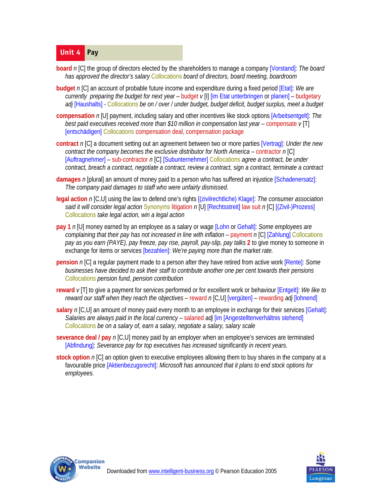## **Unit 4 Pay**

- **board** *n* [C] the group of directors elected by the shareholders to manage a company [Vorstand]: *The board has approved the director's salary* Collocations *board of directors, board meeting, boardroom*
- **budget** *n* [C] an account of probable future income and expenditure during a fixed period [Etat]: *We are currently preparing the budget for next year* – budget *v* [I] [im Etat unterbringen or planen] – budgetary *adj* [Haushalts] - Collocations *be on / over / under budget, budget deficit, budget surplus, meet a budget*
- **compensation** *n* [U] payment, including salary and other incentives like stock options [Arbeitsentgelt]: *The best paid executives received more than \$10 million in compensation last year* – compensate  $v$  [T] [entschädigen] Collocations compensation deal, compensation package
- **contract** *n* [C] a document setting out an agreement between two or more parties [Vertrag]: *Under the new contract the company becomes the exclusive distributor for North America* – contractor *n* [C] [Auftragnehmer] – sub-contractor *n* [C] [Subunternehmer] Collocations *agree a contract, be under contract, breach a contract, negotiate a contract, review a contract, sign a contract, terminate a contract*
- **damages** *n* [plural] an amount of money paid to a person who has suffered an injustice [Schadenersatz]: *The company paid damages to staff who were unfairly dismissed*.
- **legal action** *n* [C,U] using the law to defend one's rights [(zivilrechtliche) Klage]: *The consumer association said it will consider legal action* Synonyms litigation *n* [U] [Rechtsstreit] law suit *n* [C] [(Zivil-)Prozess] Collocations *take legal action, win a legal action*
- **pay 1** *n* [U] money earned by an employee as a salary or wage [Lohn or Gehalt]: *Some employees are complaining that their pay has not increased in line with inflation* – payment *n* [C] [Zahlung] Collocations *pay as you earn (PAYE), pay freeze, pay rise, payroll, pay-slip, pay talks* **2** to give money to someone in exchange for items or services [bezahlen]: *We're paying more than the market rate.*
- **pension** n [C] a regular payment made to a person after they have retired from active work [Rente]: *Some businesses have decided to ask their staff to contribute another one per cent towards their pensions* Collocations *pension fund, pension contribution*
- **reward** *v* [T] to give a payment for services performed or for excellent work or behaviour [Entgelt]: *We like to reward our staff when they reach the objectives* – reward *n* [C,U] [vergüten] – rewarding *adj* [lohnend]
- **salary** n [C,U] an amount of money paid every month to an employee in exchange for their services [Gehalt]: *Salaries are always paid in the local currency* – salaried *adj* [im [Angestelltenverhältnis stehend] Collocations *be on a salary of, earn a salary, negotiate a salary, salary scale*
- **severance deal / pay** *n* [C,U] money paid by an employer when an employee's services are terminated [Abfindung]: *Severance pay for top executives has increased significantly in recent years.*
- **stock option** *n* [C] an option given to executive employees allowing them to buy shares in the company at a favourable price [Aktienbezugsrecht]: *Microsoft has announced that it plans to end stock options for employees.*



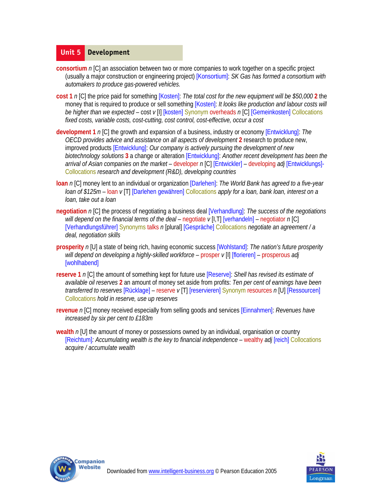#### **Unit 5 Development**

- **consortium** *n* [C] an association between two or more companies to work together on a specific project (usually a major construction or engineering project) [Konsortium]: *SK Gas has formed a consortium with automakers to produce gas-powered vehicles.*
- **cost 1** *n* [C] the price paid for something [Kosten]: *The total cost for the new equipment will be \$50,000* **2** the money that is required to produce or sell something [Kosten]: *It looks like production and labour costs will be higher than we expected* – cost *v* [I] [kosten] Synonym overheads *n* [C] [Gemeinkosten] Collocations *fixed costs, variable costs, cost-cutting, cost control, cost-effective, occur a cost*
- **development 1** *n* [C] the growth and expansion of a business, industry or economy [Entwicklung]: *The OECD provides advice and assistance on all aspects of development* **2** research to produce new, improved products [Entwicklung]: *Our company is actively pursuing the development of new biotechnology solutions* **3** a change or alteration [Entwicklung]: *Another recent development has been the arrival of Asian companies on the market* – developer *n* [C] [Entwickler] – developing *adj* [Entwicklungs]- Collocations *research and development (R&D), developing countries*
- **loan** *n* [C] money lent to an individual or organization [Darlehen]: *The World Bank has agreed to a five-year loan of \$125m* – loan *v* [T] [Darlehen gewähren] Collocations *apply for a loan, bank loan, interest on a loan, take out a loan*
- **negotiation** *n* [C] the process of negotiating a business deal [Verhandlung]: *The success of the negotiations will depend on the financial terms of the deal* – negotiate  $v[1,T]$  [verhandeln] – negotiator n [C] [Verhandlungsführer] Synonyms talks *n* [plural] [Gespräche] Collocations *negotiate an agreement / a deal, negotiation skills*
- **prosperity** *n* [U] a state of being rich, having economic success [Wohlstand]: *The nation's future prosperity will depend on developing a highly-skilled workforce* – prosper *v* [I] [florieren] – prosperous *adj*  [wohlhabend]
- **reserve 1** *n* [C] the amount of something kept for future use [Reserve]: *Shell has revised its estimate of available oil reserves* **2** an amount of money set aside from profits: *Ten per cent of earnings have been transferred to reserves* [Rücklage] – reserve *v* [T] [reservieren] Synonym resources *n* [U] [Ressourcen] Collocations *hold in reserve, use up reserves*
- **revenue** *n* [C] money received especially from selling goods and services [Einnahmen]: *Revenues have increased by six per cent to £183m*
- **wealth** *n* [U] the amount of money or possessions owned by an individual, organisation or country [Reichtum]*: Accumulating wealth is the key to financial independence* – wealthy *adj* [reich] Collocations *acquire / accumulate wealth*



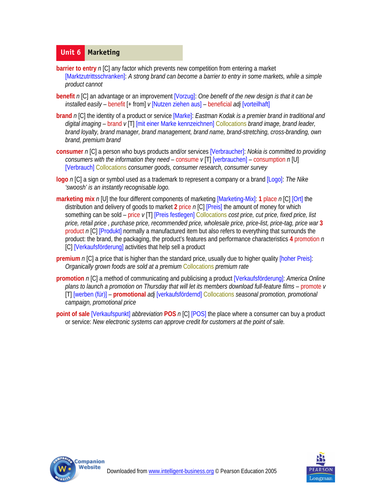#### **Unit 6 Marketing**

- **barrier to entry** *n* [C] any factor which prevents new competition from entering a market [Marktzutrittsschranken]: *A strong brand can become a barrier to entry in some markets, while a simple product cannot*
- **benefit** *n* [C] an advantage or an improvement [Vorzug]: *One benefit of the new design is that it can be installed easily* – benefit [+ from] *v* [Nutzen ziehen aus] – beneficial *adj* [vorteilhaft]
- **brand** *n* [C] the identity of a product or service [Marke]: *Eastman Kodak is a premier brand in traditional and digital imaging* – brand *v* [T] [mit einer Marke kennzeichnen] Collocations *brand image, brand leader, brand loyalty, brand manager, brand management, brand name, brand-stretching, cross-branding, own brand, premium brand*
- **consumer** *n* [C] a person who buys products and/or services [Verbraucher]: *Nokia is committed to providing consumers with the information they need* – consume *v* [T] [verbrauchen] – consumption *n* [U] [Verbrauch] Collocations *consumer goods, consumer research, consumer survey*
- **logo** *n* [C] a sign or symbol used as a trademark to represent a company or a brand [Logo]: *The Nike 'swoosh' is an instantly recognisable logo.*
- **marketing mix** *n* [U] the four different components of marketing [Marketing-Mix]: **1** place *n* [C] [Ort] the distribution and delivery of goods to market **2** price *n* [C] [Preis] the amount of money for which something can be sold – price *v* [T] [Preis festlegen] Collocations *cost price, cut price, fixed price, list price, retail price , purchase price, recommended price, wholesale price, price-list, price-tag, price war* **3**  product n [C] [Produkt] normally a manufactured item but also refers to everything that surrounds the product: the brand, the packaging, the product's features and performance characteristics **4** promotion *n*  [C] [Verkaufsförderung] activities that help sell a product
- **premium** *n* [C] a price that is higher than the standard price, usually due to higher quality [hoher Preis]: *Organically grown foods are sold at a premium* Collocations *premium rate*
- **promotion** *n* [C] a method of communicating and publicising a product [Verkaufsförderung]: *America Online plans to launch a promotion on Thursday that will let its members download full-feature films* – promote *v*  [T] [werben (für)] – **promotional** *adj* [verkaufsfördernd] Collocations *seasonal promotion, promotional campaign, promotional price*
- **point of sale** [Verkaufspunkt] *abbreviation* **POS** *n* [C] [POS] the place where a consumer can buy a product or service: *New electronic systems can approve credit for customers at the point of sale.*



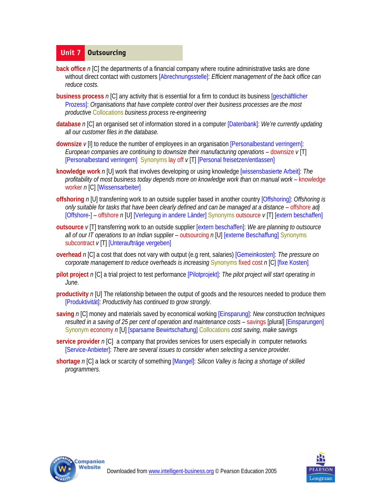## **Unit 7 Outsourcing**

- **back office** *n* [C] the departments of a financial company where routine administrative tasks are done without direct contact with customers [Abrechnungsstelle]: *Efficient management of the back office can reduce costs.*
- **business process** *n* [C] any activity that is essential for a firm to conduct its business [geschäftlicher Prozess]: *Organisations that have complete control over their business processes are the most productive* Collocations *business process re-engineering*
- **database** *n* [C] an organised set of information stored in a computer [Datenbank]: *We're currently updating all our customer files in the database.*
- **downsize** *v* [I] to reduce the number of employees in an organisation [Personalbestand verringern]: *European companies are continuing to downsize their manufacturing operations* – downsize *v* [T] [Personalbestand verringern] Synonyms lay off *v* [T] [Personal freisetzen/entlassen]
- **knowledge work** *n* [U] work that involves developing or using knowledge [wissensbasierte Arbeit]: *The profitability of most business today depends more on knowledge work than on manual work* – knowledge worker *n* [C] [Wissensarbeiter]
- **offshoring** *n* [U] transferring work to an outside supplier based in another country [Offshoring]: *Offshoring is only suitable for tasks that have been clearly defined and can be managed at a distance* – offshore *adj*  [Offshore-] – offshore *n* [U] [Verlegung in andere Länder] Synonyms outsource *v* [T] [extern beschaffen]
- **outsource** *v* [T] transferring work to an outside supplier [extern beschaffen]: *We are planning to outsource all of our IT operations to an Indian supplier* – outsourcing *n* [U] [externe Beschaffung] Synonyms subcontract *v* [T] [Unteraufträge vergeben]
- **overhead** *n* [C] a cost that does not vary with output (e.g rent, salaries) [Gemeinkosten]: *The pressure on corporate management to reduce overheads is increasing* Synonyms fixed cost *n* [C] [fixe Kosten]
- **pilot project** *n* [C] a trial project to test performance [Pilotprojekt]: *The pilot project will start operating in June.*
- **productivity** *n* [U] The relationship between the output of goods and the resources needed to produce them [Produktivität]: *Productivity has continued to grow strongly*.
- **saving** *n* [C] money and materials saved by economical working [Einsparung]: *New construction techniques resulted in a saving of 25 per cent of operation and maintenance costs – savings [plural] [Einsparungen]* Synonym economy *n* [U] [sparsame Bewirtschaftung] Collocations *cost saving, make savings*
- **service provider** *n* [C] a company that provides services for users especially in computer networks [Service-Anbieter]: *There are several issues to consider when selecting a service provider.*
- **shortage** *n* [C] a lack or scarcity of something [Mangel]: *Silicon Valley is facing a shortage of skilled programmers.*



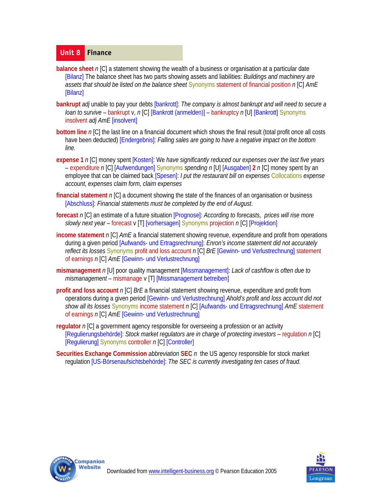#### **Unit 8 Finance**

- **balance sheet** n [C] a statement showing the wealth of a business or organisation at a particular date [Bilanz] The balance sheet has two parts showing assets and liabilities: *Buildings and machinery are assets that should be listed on the balance sheet* Synonyms statement of financial position *n* [C] *AmE*  [Bilanz]
- **bankrupt** *adj* unable to pay your debts [bankrott]: *The company is almost bankrupt and will need to secure a loan to survive* – bankrupt v, *n* [C] [Bankrott (anmelden)] – bankruptcy *n* [U] [Bankrott] Synonyms insolvent *adj AmE* [insolvent]
- **bottom line** *n* [C] the last line on a financial document which shows the final result (total profit once all costs have been deducted) [Endergebnis]: *Falling sales are going to have a negative impact on the bottom line.*
- **expense 1** *n* [C] money spent [Kosten]: We *have significantly reduced our expenses over the last five years* – expenditure *n* [C] [Aufwendungen] Synonyms *spending n* [U] [Ausgaben] **2** *n* [C] money spent by an employee that can be claimed back [Spesen]: *I put the restaurant bill on expenses* Collocations *expense account, expenses claim form, claim expenses*
- **financial statement** *n* [C] a document showing the state of the finances of an organisation or business [Abschluss]: *Financial statements must be completed by the end of August*.
- **forecast** *n* [C] an estimate of a future situation [Prognose]: *According to forecasts, prices will rise more slowly next year* – forecast v [T] [vorhersagen] Synonyms projection *n* [C] [Projektion]
- **income statement** n [C] AmE a financial statement showing revenue, expenditure and profit from operations during a given period [Aufwands- und Ertragsrechnung]: *Enron's income statement did not accurately reflect its losses* Synonyms profit and loss account *n* [C] *BrE* [Gewinn- und Verlustrechnung] statement of earnings *n* [C] *AmE* [Gewinn- und Verlustrechnung]
- **mismanagement** *n* [U] poor quality management [Missmanagement]: *Lack of cashflow is often due to mismanagement* – mismanage v [T] [Missmanagement betreiben]
- **profit and loss account** *n* [C] *BrE* a financial statement showing revenue, expenditure and profit from operations during a given period [Gewinn- und Verlustrechnung] *Ahold's profit and loss account did not show all its losses* Synonyms income statement *n* [C] [Aufwands- und Ertragsrechnung] *AmE* statement of earnings *n* [C] *AmE* [Gewinn- und Verlustrechnung]
- **regulator** *n* [C] a government agency responsible for overseeing a profession or an activity [Regulierungsbehörde]: *Stock market regulators are in charge of protecting investors* – regulation *n* [C] [Regulierung] Synonyms controller *n* [C] [Controller]
- **Securities Exchange Commission** *abbreviation* **SEC** *n* the US agency responsible for stock market regulation [US-Börsenaufsichtsbehörde]: *The SEC is currently investigating ten cases of fraud.*



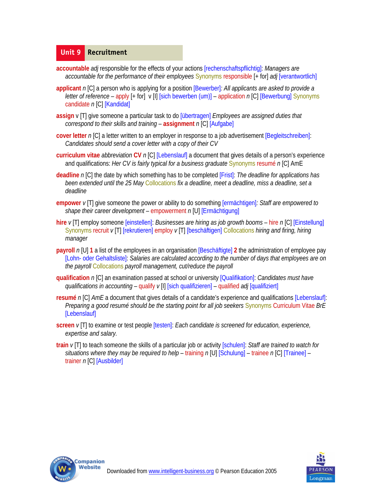#### **Unit 9 Recruitment**

- **accountable** *adj* responsible for the effects of your actions [rechenschaftspflichtig]: *Managers are accountable for the performance of their employees* Synonyms responsible [+ for] *adj* [verantwortlich]
- **applicant** *n* [C] a person who is applying for a position [Bewerber]*: All applicants are asked to provide a letter of reference* – apply [+ for] v [I] [sich bewerben (um)] – application *n* [C] [Bewerbung] Synonyms candidate *n* [C] [Kandidat]
- **assign** v [T] give someone a particular task to do [übertragen] *Employees are assigned duties that correspond to their skills and training* – **assignment** *n* [C] [Aufgabe]
- **cover letter** *n* [C] a letter written to an employer in response to a job advertisement [Begleitschreiben]: *Candidates should send a cover letter with a copy of their CV*
- **curriculum vitae** *abbreviation* **CV** *n* [C] [Lebenslauf] a document that gives details of a person's experience and qualifications: *Her CV is fairly typical for a business graduate* Synonyms resumé *n* [C] AmE
- **deadline** *n* [C] the date by which something has to be completed [Frist]: *The deadline for applications has been extended until the 25 May* Collocations *fix a deadline, meet a deadline, miss a deadline, set a deadline*
- **empower** *v* [T] give someone the power or ability to do something [ermächtigen]*: Staff are empowered to shape their career development* – empowerment *n* [U] [Ermächtigung]
- **hire** *v* [T] employ someone [einstellen]: *Businesses are hiring as job growth booms* hire *n* [C] [Einstellung] Synonyms recruit *v* [T] [rekrutieren] employ *v* [T] [beschäftigen] Collocations *hiring and firing, hiring manager*
- **payroll** *n* [U] **1** a list of the employees in an organisation [Beschäftigte] **2** the administration of employee pay [Lohn- oder Gehaltsliste]: *Salaries are calculated according to the number of days that employees are on the payroll* Collocations *payroll management, cut/reduce the payroll*
- **qualification** *n* [C] an examination passed at school or university [Qualifikation]: *Candidates must have qualifications in accounting* – qualify *v* [I] [sich qualifizieren] – qualified *adj* [qualifiziert]
- **resumé** *n* [C] *AmE* a document that gives details of a candidate's experience and qualifications [Lebenslauf]: *Preparing a good resumé should be the starting point for all job seekers* Synonyms Curriculum Vitae *BrE*  [Lebenslauf]
- **screen** *v* [T] to examine or test people [testen]: *Each candidate is screened for education, experience, expertise and salary.*
- **train** *v* [T] to teach someone the skills of a particular job or activity [schulen]: *Staff are trained to watch for situations where they may be required to help* – training *n* [U] [Schulung] – trainee *n* [C] [Trainee] – trainer *n* [C] [Ausbilder]



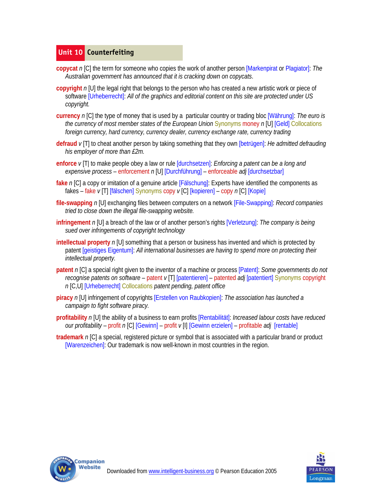## **Unit 10 Counterfeiting**

- **copycat** *n* [C] the term for someone who copies the work of another person [Markenpirat or Plagiator]: *The Australian government has announced that it is cracking down on copycats*.
- **copyright** *n* [U] the legal right that belongs to the person who has created a new artistic work or piece of software [Urheberrecht]: *All of the graphics and editorial content on this site are protected under US copyright.*
- **currency** *n* [C] the type of money that is used by a particular country or trading bloc [Währung]: *The euro is the currency of most member states of the European Union* Synonyms money *n* [U] [Geld] Collocations *foreign currency, hard currency, currency dealer, currency exchange rate, currency trading*
- **defraud** *v* [T] to cheat another person by taking something that they own [betrügen]: *He admitted defrauding his employer of more than £2m.*
- **enforce** *v* [T| to make people obey a law or rule [durchsetzen]: *Enforcing a patent can be a long and expensive process* – enforcement *n* [U] [Durchführung] – enforceable *adj* [durchsetzbar]
- **fake** *n* [C] a copy or imitation of a genuine article [Fälschung]: Experts have identified the components as fakes – fake *v* [T] [fälschen] Synonyms copy *v* [C] [kopieren] – copy *n* [C] [Kopie]
- **file-swapping** *n* [U] exchanging files between computers on a network [File-Swapping]: *Record companies tried to close down the illegal file-swapping website.*
- **infringement** *n* [U] a breach of the law or of another person's rights [Verletzung]: *The company is being sued over infringements of copyright technology*
- **intellectual property** n [U] something that a person or business has invented and which is protected by patent [geistiges Eigentum]: *All international businesses are having to spend more on protecting their intellectual property.*
- **patent** *n* [C] a special right given to the inventor of a machine or process [Patent]: *Some governments do not recognise patents on software* – patent *v* [T] [patentieren] – patented *adj* [patentiert] Synonyms copyright *n* [C,U] [Urheberrecht] Collocations *patent pending, patent office*
- **piracy** *n* [U] infringement of copyrights [Erstellen von Raubkopien]: *The association has launched a campaign to fight software piracy.*
- **profitability** *n* [U] the ability of a business to earn profits [Rentabilität]: *Increased labour costs have reduced our profitability* – profit *n* [C] [Gewinn] – profit *v* [I] [Gewinn erzielen] – profitable *adj* [rentable]
- **trademark** *n* [C] a special, registered picture or symbol that is associated with a particular brand or product [Warenzeichen]: Our trademark is now well-known in most countries in the region.



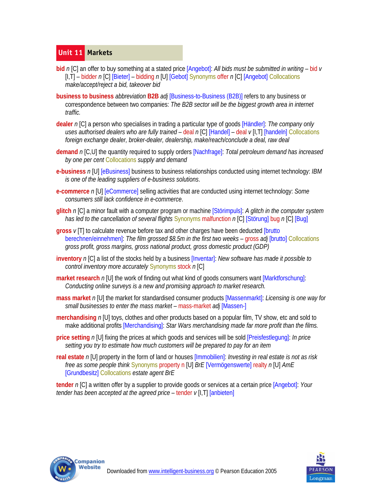## **Unit 11 Markets**

- **bid** *n* [C] an offer to buy something at a stated price [Angebot]: *All bids must be submitted in writing* bid *v*  [I,T] – bidder *n* [C] [Bieter] – bidding *n* [U] [Gebot] Synonyms offer *n* [C] [Angebot] Collocations *make/accept/reject a bid, takeover bid*
- **business to business** *abbreviation* **B2B** *adj* [Business-to-Business (B2B)] refers to any business or correspondence between two companies: *The B2B sector will be the biggest growth area in internet traffic.*
- **dealer** *n* [C] a person who specialises in trading a particular type of goods [Händler]: *The company only uses authorised dealers who are fully trained* – deal *n* [C] [Handel] – deal *v* [I,T] [handeln] Collocations *foreign exchange dealer, broker-dealer, dealership, make/reach/conclude a deal, raw deal*
- **demand** *n* [C,U] the quantity required to supply orders [Nachfrage]: *Total petroleum demand has increased by one per cent* Collocations *supply and demand*
- **e-business** *n* [U] [eBusiness] business to business relationships conducted using internet technology: *IBM is one of the leading suppliers of e-business solutions*.
- **e-commerce** *n* [U] [eCommerce] selling activities that are conducted using internet technology: *Some consumers still lack confidence in e-commerce*.
- **glitch** *n* [C] a minor fault with a computer program or machine [Störimpuls]: *A glitch in the computer system has led to the cancellation of several flights* Synonyms malfunction *n* [C] [Störung] bug *n* [C] [Bug]
- **gross** *v* [T] to calculate revenue before tax and other charges have been deducted [brutto berechnen/einnehmen]: *The film grossed \$8.5m in the first two weeks* – gross *adj* [brutto] Collocations *gross profit, gross margins, gross national product, gross domestic product (GDP)*
- **inventory** *n* [C] a list of the stocks held by a business [Inventar]: *New software has made it possible to control inventory more accurately* Synonyms stock *n* [C]
- **market research** n [U] the work of finding out what kind of goods consumers want [Marktforschung]: *Conducting online surveys is a new and promising approach to market research.*
- **mass market** *n* [U] the market for standardised consumer products [Massenmarkt]: *Licensing is one way for small businesses to enter the mass market* – mass-market *adj* [Massen-]
- **merchandising** *n* [U] toys, clothes and other products based on a popular film, TV show, etc and sold to make additional profits [Merchandising]: *Star Wars merchandising made far more profit than the films.*
- **price setting** *n* [U] fixing the prices at which goods and services will be sold [Preisfestlegung]: *In price setting you try to estimate how much customers will be prepared to pay for an item*
- **real estate** *n* [U] property in the form of land or houses [Immobilien]: *Investing in real estate is not as risk free as some people think* Synonyms property n [U] *BrE* [Vermögenswerte] realty *n* [U] *AmE*  [Grundbesitz] Collocations *estate agent BrE*

**tender** *n* [C] a written offer by a supplier to provide goods or services at a certain price [Angebot]: *Your tender has been accepted at the agreed price* – tender *v* [I,T] [anbieten]



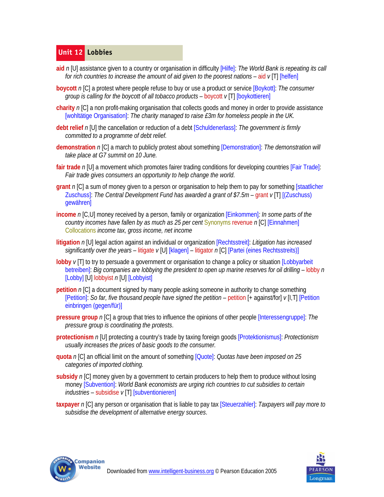# **Unit 12 Lobbies**

- **aid** *n* [U] assistance given to a country or organisation in difficulty [Hilfe]: *The World Bank is repeating its call for rich countries to increase the amount of aid given to the poorest nations* – aid *v* [T] [helfen]
- **boycott** *n* [C] a protest where people refuse to buy or use a product or service [Boykott]: *The consumer group is calling for the boycott of all tobacco products* – boycott *v* [T] [boykottieren]
- **charity** *n* [C] a non profit-making organisation that collects goods and money in order to provide assistance [wohltätige Organisation]: *The charity managed to raise £3m for homeless people in the UK.*
- **debt relief** *n* [U] the cancellation or reduction of a debt [Schuldenerlass]: *The government is firmly committed to a programme of debt relief.*
- **demonstration** *n* [C] a march to publicly protest about something [Demonstration]: *The demonstration will take place at G7 summit on 10 June.*
- **fair trade** *n* [U] a movement which promotes fairer trading conditions for developing countries [Fair Trade]: *Fair trade gives consumers an opportunity to help change the world*.
- **grant** *n* [C] a sum of money given to a person or organisation to help them to pay for something [staatlicher Zuschuss]: *The Central Development Fund has awarded a grant of \$7.5m* – grant *v* [T] [(Zuschuss) gewähren]
- **income** *n* [C,U] money received by a person, family or organization [Einkommen]*: In some parts of the country incomes have fallen by as much as 25 per cent* Synonyms revenue n [C] [Einnahmen] Collocations *income tax, gross income, net income*
- **litigation** *n* [U] legal action against an individual or organization [Rechtsstreit]: *Litigation has increased significantly over the years* – litigate *v* [U] [klagen] – litigator *n* [C] [Partei (eines Rechtsstreits)]
- **lobby**  $v[T]$  to try to persuade a government or organisation to change a policy or situation [Lobbyarbeit] betreiben]: *Big companies are lobbying the president to open up marine reserves for oil drilling* – lobby *n*  [Lobby] [U] lobbyist *n* [U] [Lobbyist]
- **petition** *n* [C] a document signed by many people asking someone in authority to change something [Petition]: *So far, five thousand people have signed the petition* – petition [+ against/for] *v* [I,T] [Petition einbringen (gegen/für)]
- **pressure group** *n* [C] a group that tries to influence the opinions of other people [Interessengruppe]: *The pressure group is coordinating the protests*.
- **protectionism** *n* [U] protecting a country's trade by taxing foreign goods [Protektionismus]: *Protectionism usually increases the prices of basic goods to the consumer.*
- **quota** *n* [C] an official limit on the amount of something [Quote]: *Quotas have been imposed on 25 categories of imported clothing.*
- **subsidy** *n* [C] money given by a government to certain producers to help them to produce without losing money [Subvention]: *World Bank economists are urging rich countries to cut subsidies to certain industries* – subsidise *v* [T] [subventionieren]
- **taxpayer** *n* [C] any person or organisation that is liable to pay tax [Steuerzahler]: *Taxpayers will pay more to subsidise the development of alternative energy sources*.



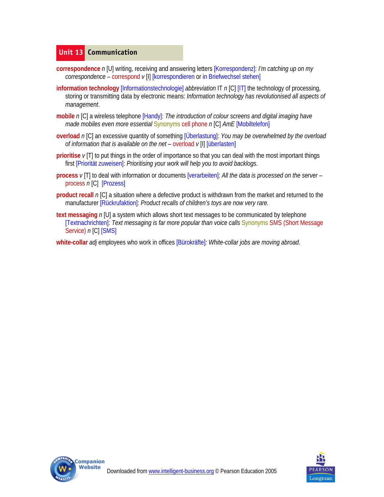# **Unit 13 Communication**

- **correspondence** *n* [U] writing, receiving and answering letters [Korrespondenz]: *I'm catching up on my correspondence* – correspond *v* [I] [korrespondieren or in Briefwechsel stehen]
- **information technology** [Informationstechnologie] *abbreviation* IT *n* [C] [IT] the technology of processing, storing or transmitting data by electronic means: *Information technology has revolutionised all aspects of management*.
- **mobile** *n* [C] a wireless telephone [Handy]: *The introduction of colour screens and digital imaging have made mobiles even more essential* Synonyms cell phone *n* [C] *AmE* [Mobiltelefon]
- **overload** *n* [C] an excessive quantity of something [Überlastung]: *You may be overwhelmed by the overload of information that is available on the net* – overload *v* [I] [überlasten]
- **prioritise** *v* [T] to put things in the order of importance so that you can deal with the most important things first [Priorität zuweisen]: *Prioritising your work will help you to avoid backlogs*.
- **process** *v* [T] to deal with information or documents [verarbeiten]: *All the data is processed on the server*  process *n* [C] [Prozess]
- **product recall** *n* [C] a situation where a defective product is withdrawn from the market and returned to the manufacturer [Rückrufaktion]: *Product recalls of children's toys are now very rare.*
- **text messaging** *n* [U] a system which allows short text messages to be communicated by telephone [Textnachrichten]: *Text messaging is far more popular than voice calls* Synonyms SMS (Short Message Service) *n* [C] [SMS]
- **white-collar** *adj* employees who work in offices [Bürokräfte]*: White-collar jobs are moving abroad*.



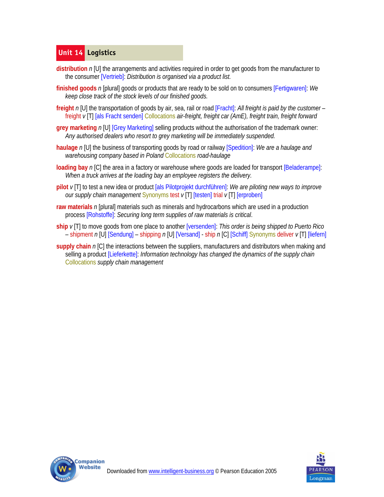# **Unit 14 Logistics**

- **distribution** *n* [U] the arrangements and activities required in order to get goods from the manufacturer to the consumer [Vertrieb]: *Distribution is organised via a product list.*
- **finished goods** *n* [plural] goods or products that are ready to be sold on to consumers [Fertigwaren]: *We keep close track of the stock levels of our finished goods.*
- **freight** *n* [U] the transportation of goods by air, sea, rail or road [Fracht]: *All freight is paid by the customer* freight *v* [T] [als Fracht senden] Collocations *air-freight, freight car (AmE), freight train, freight forward*
- **grey marketing** *n* [U] [Grey Marketing] selling products without the authorisation of the trademark owner: *Any authorised dealers who resort to grey marketing will be immediately suspended.*
- **haulage** *n* [U] the business of transporting goods by road or railway [Spedition]: *We are a haulage and warehousing company based in Poland* Collocations *road-haulage*
- **loading bay** n [C] the area in a factory or warehouse where goods are loaded for transport [Beladerampe]: *When a truck arrives at the loading bay an employee registers the delivery.*
- **pilot** *v* [T] to test a new idea or product [als Pilotprojekt durchführen]: *We are piloting new ways to improve our supply chain management* Synonyms test *v* [T] [testen] trial *v* [T] [erproben]
- **raw materials** *n* [plural] materials such as minerals and hydrocarbons which are used in a production process [Rohstoffe]: *Securing long term supplies of raw materials is critical*.
- **ship** *v* [T] to move goods from one place to another [versenden]: *This order is being shipped to Puerto Rico* – shipment *n* [U] [Sendung] – shipping *n* [U] [Versand] - ship *n* [C] [Schiff] Synonyms deliver *v* [T] [liefern]
- **supply chain** *n* [C] the interactions between the suppliers, manufacturers and distributors when making and selling a product [Lieferkette]: *Information technology has changed the dynamics of the supply chain* Collocations *supply chain management*